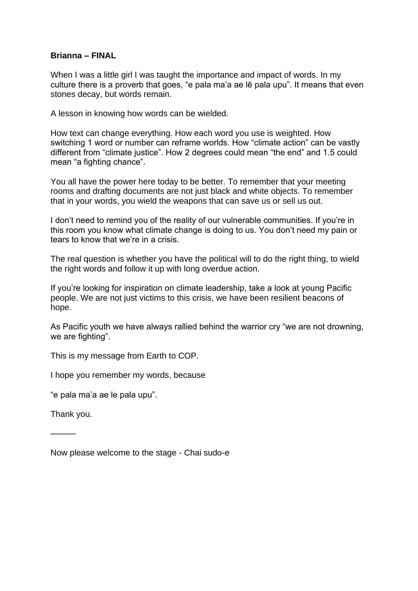## **Brianna – FINAL**

When I was a little girl I was taught the importance and impact of words. In my culture there is a proverb that goes, "e pala ma'a ae lē pala upu". It means that even stones decay, but words remain.

A lesson in knowing how words can be wielded.

How text can change everything. How each word you use is weighted. How switching 1 word or number can reframe worlds. How "climate action" can be vastly different from "climate justice". How 2 degrees could mean "the end" and 1.5 could mean "a fighting chance".

You all have the power here today to be better. To remember that your meeting rooms and drafting documents are not just black and white objects. To remember that in your words, you wield the weapons that can save us or sell us out.

I don't need to remind you of the reality of our vulnerable communities. If you're in this room you know what climate change is doing to us. You don't need my pain or tears to know that we're in a crisis.

The real question is whether you have the political will to do the right thing, to wield the right words and follow it up with long overdue action.

If you're looking for inspiration on climate leadership, take a look at young Pacific people. We are not just victims to this crisis, we have been resilient beacons of hope.

As Pacific youth we have always rallied behind the warrior cry "we are not drowning, we are fighting".

This is my message from Earth to COP.

I hope you remember my words, because

"e pala ma'a ae le pala upu".

Thank you.

———

Now please welcome to the stage - Chai sudo-e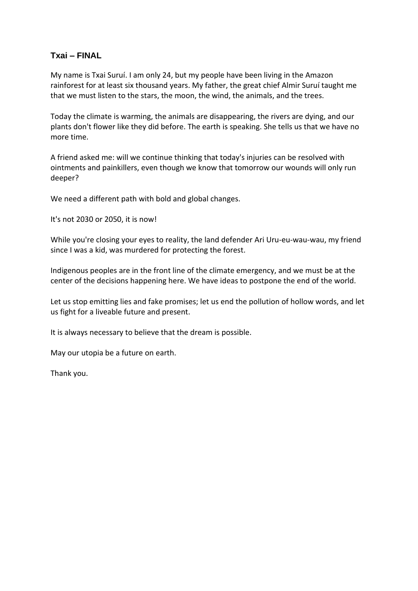## **Txai – FINAL**

My name is Txai Suruí. I am only 24, but my people have been living in the Amazon rainforest for at least six thousand years. My father, the great chief Almir Suruí taught me that we must listen to the stars, the moon, the wind, the animals, and the trees.

Today the climate is warming, the animals are disappearing, the rivers are dying, and our plants don't flower like they did before. The earth is speaking. She tells us that we have no more time.

A friend asked me: will we continue thinking that today's injuries can be resolved with ointments and painkillers, even though we know that tomorrow our wounds will only run deeper?

We need a different path with bold and global changes.

It's not 2030 or 2050, it is now!

While you're closing your eyes to reality, the land defender Ari Uru-eu-wau-wau, my friend since I was a kid, was murdered for protecting the forest.

Indigenous peoples are in the front line of the climate emergency, and we must be at the center of the decisions happening here. We have ideas to postpone the end of the world.

Let us stop emitting lies and fake promises; let us end the pollution of hollow words, and let us fight for a liveable future and present.

It is always necessary to believe that the dream is possible.

May our utopia be a future on earth.

Thank you.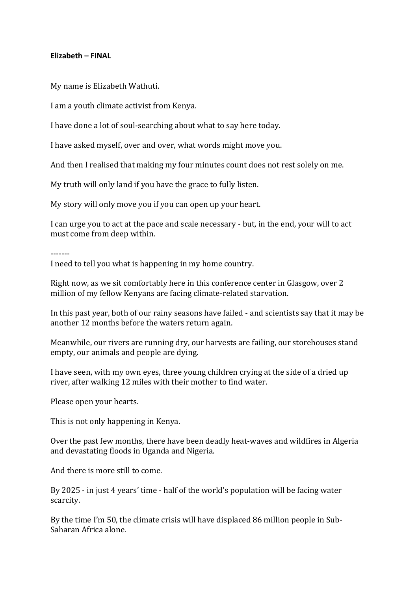## **Elizabeth – FINAL**

My name is Elizabeth Wathuti.

I am a youth climate activist from Kenya.

I have done a lot of soul-searching about what to say here today.

I have asked myself, over and over, what words might move you.

And then I realised that making my four minutes count does not rest solely on me.

My truth will only land if you have the grace to fully listen.

My story will only move you if you can open up your heart.

I can urge you to act at the pace and scale necessary - but, in the end, your will to act must come from deep within.

-------

I need to tell you what is happening in my home country.

Right now, as we sit comfortably here in this conference center in Glasgow, over 2 million of my fellow Kenyans are facing climate-related starvation.

In this past year, both of our rainy seasons have failed - and scientists say that it may be another 12 months before the waters return again.

Meanwhile, our rivers are running dry, our harvests are failing, our storehouses stand empty, our animals and people are dying.

I have seen, with my own eyes, three young children crying at the side of a dried up river, after walking 12 miles with their mother to find water.

Please open your hearts.

This is not only happening in Kenya.

Over the past few months, there have been deadly heat-waves and wildfires in Algeria and devastating floods in Uganda and Nigeria.

And there is more still to come.

By 2025 - in just 4 years' time - half of the world's population will be facing water scarcity.

By the time I'm 50, the climate crisis will have displaced 86 million people in Sub-Saharan Africa alone.